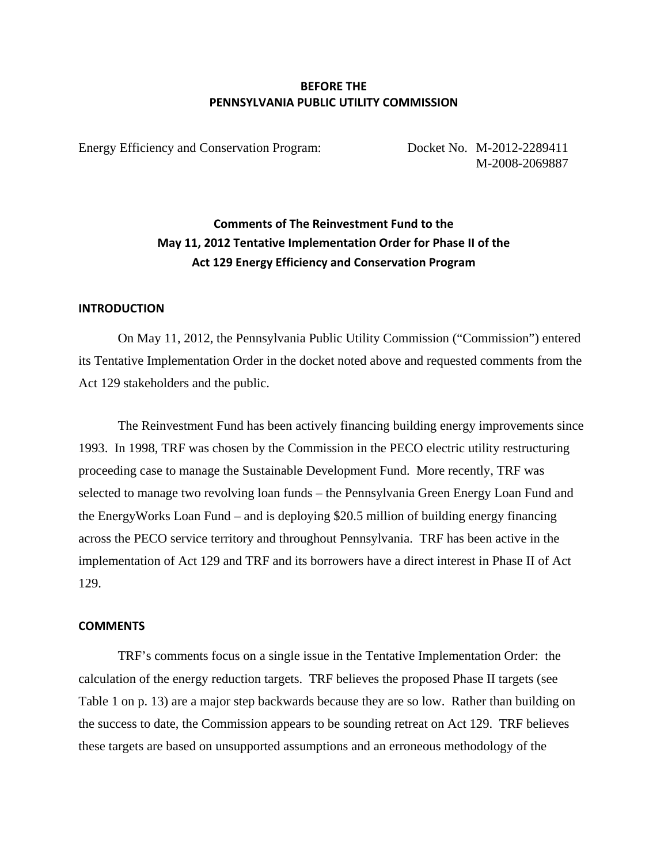### **BEFORE THE PENNSYLVANIA PUBLIC UTILITY COMMISSION**

Energy Efficiency and Conservation Program: Docket No. M-2012-2289411

M-2008-2069887

## **Comments of The Reinvestment Fund to the May 11, 2012 Tentative Implementation Order for Phase II of the Act 129 Energy Efficiency and Conservation Program**

#### **INTRODUCTION**

On May 11, 2012, the Pennsylvania Public Utility Commission ("Commission") entered its Tentative Implementation Order in the docket noted above and requested comments from the Act 129 stakeholders and the public.

The Reinvestment Fund has been actively financing building energy improvements since 1993. In 1998, TRF was chosen by the Commission in the PECO electric utility restructuring proceeding case to manage the Sustainable Development Fund. More recently, TRF was selected to manage two revolving loan funds – the Pennsylvania Green Energy Loan Fund and the EnergyWorks Loan Fund – and is deploying \$20.5 million of building energy financing across the PECO service territory and throughout Pennsylvania. TRF has been active in the implementation of Act 129 and TRF and its borrowers have a direct interest in Phase II of Act 129.

### **COMMENTS**

TRF's comments focus on a single issue in the Tentative Implementation Order: the calculation of the energy reduction targets. TRF believes the proposed Phase II targets (see Table 1 on p. 13) are a major step backwards because they are so low. Rather than building on the success to date, the Commission appears to be sounding retreat on Act 129. TRF believes these targets are based on unsupported assumptions and an erroneous methodology of the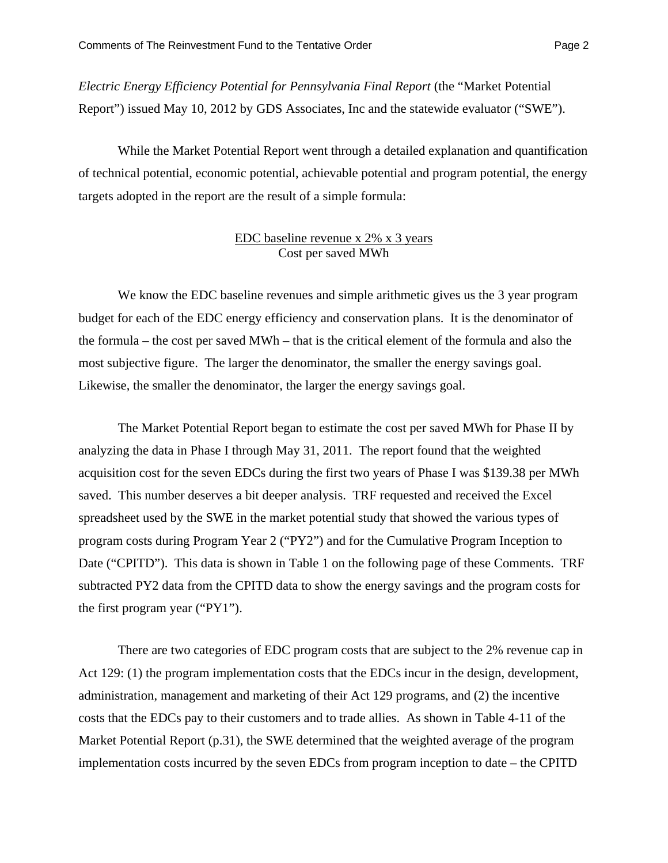*Electric Energy Efficiency Potential for Pennsylvania Final Report* (the "Market Potential Report") issued May 10, 2012 by GDS Associates, Inc and the statewide evaluator ("SWE").

While the Market Potential Report went through a detailed explanation and quantification of technical potential, economic potential, achievable potential and program potential, the energy targets adopted in the report are the result of a simple formula:

### EDC baseline revenue x 2% x 3 years Cost per saved MWh

We know the EDC baseline revenues and simple arithmetic gives us the 3 year program budget for each of the EDC energy efficiency and conservation plans. It is the denominator of the formula – the cost per saved MWh – that is the critical element of the formula and also the most subjective figure. The larger the denominator, the smaller the energy savings goal. Likewise, the smaller the denominator, the larger the energy savings goal.

The Market Potential Report began to estimate the cost per saved MWh for Phase II by analyzing the data in Phase I through May 31, 2011. The report found that the weighted acquisition cost for the seven EDCs during the first two years of Phase I was \$139.38 per MWh saved. This number deserves a bit deeper analysis. TRF requested and received the Excel spreadsheet used by the SWE in the market potential study that showed the various types of program costs during Program Year 2 ("PY2") and for the Cumulative Program Inception to Date ("CPITD"). This data is shown in Table 1 on the following page of these Comments. TRF subtracted PY2 data from the CPITD data to show the energy savings and the program costs for the first program year ("PY1").

There are two categories of EDC program costs that are subject to the 2% revenue cap in Act 129: (1) the program implementation costs that the EDCs incur in the design, development, administration, management and marketing of their Act 129 programs, and (2) the incentive costs that the EDCs pay to their customers and to trade allies. As shown in Table 4-11 of the Market Potential Report (p.31), the SWE determined that the weighted average of the program implementation costs incurred by the seven EDCs from program inception to date – the CPITD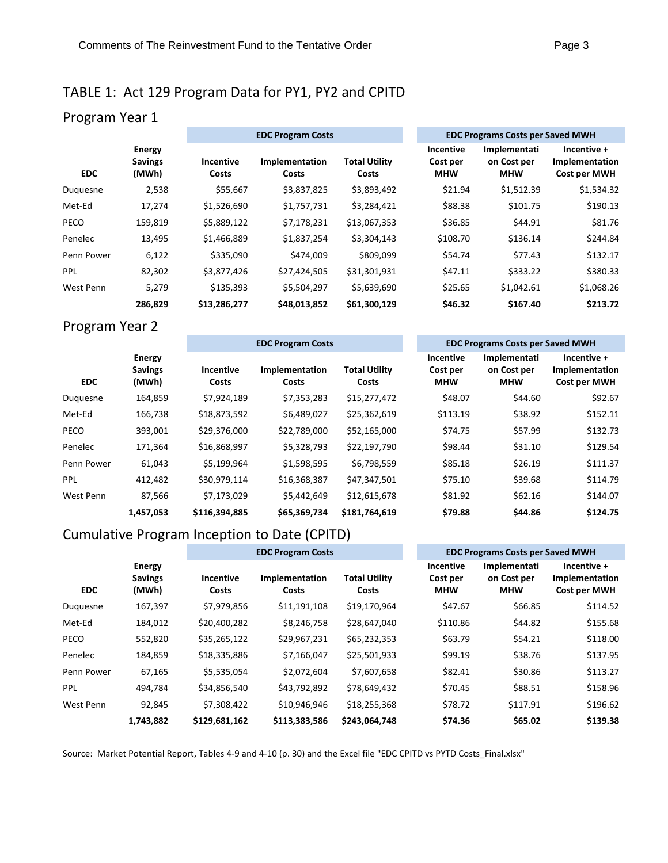# TABLE 1: Act 129 Program Data for PY1, PY2 and CPITD

# Program Year 1

|            |                                          | <b>EDC Program Costs</b> |                         |                               |  | <b>EDC Programs Costs per Saved MWH</b> |                                           |                                               |  |
|------------|------------------------------------------|--------------------------|-------------------------|-------------------------------|--|-----------------------------------------|-------------------------------------------|-----------------------------------------------|--|
| <b>EDC</b> | <b>Energy</b><br><b>Savings</b><br>(MWh) | Incentive<br>Costs       | Implementation<br>Costs | <b>Total Utility</b><br>Costs |  | Incentive<br>Cost per<br><b>MHW</b>     | Implementati<br>on Cost per<br><b>MHW</b> | Incentive +<br>Implementation<br>Cost per MWH |  |
| Duguesne   | 2,538                                    | \$55,667                 | \$3,837,825             | \$3,893,492                   |  | \$21.94                                 | \$1,512.39                                | \$1,534.32                                    |  |
| Met-Ed     | 17.274                                   | \$1,526,690              | \$1,757,731             | \$3,284,421                   |  | \$88.38                                 | \$101.75                                  | \$190.13                                      |  |
| PECO       | 159,819                                  | \$5,889,122              | \$7,178,231             | \$13,067,353                  |  | \$36.85                                 | \$44.91                                   | \$81.76                                       |  |
| Penelec    | 13,495                                   | \$1,466,889              | \$1,837,254             | \$3,304,143                   |  | \$108.70                                | \$136.14                                  | \$244.84                                      |  |
| Penn Power | 6,122                                    | \$335,090                | \$474,009               | \$809,099                     |  | \$54.74                                 | \$77.43                                   | \$132.17                                      |  |
| <b>PPL</b> | 82,302                                   | \$3,877,426              | \$27,424,505            | \$31,301,931                  |  | \$47.11                                 | \$333.22                                  | \$380.33                                      |  |
| West Penn  | 5.279                                    | \$135.393                | \$5,504,297             | \$5,639,690                   |  | \$25.65                                 | \$1.042.61                                | \$1,068.26                                    |  |
|            | 286,829                                  | \$13,286,277             | \$48,013,852            | \$61,300,129                  |  | \$46.32                                 | \$167.40                                  | \$213.72                                      |  |

## Program Year 2

|            | <b>Energy</b><br><b>Savings</b><br>(MWh) | <b>EDC Program Costs</b> |                         |                               |  | <b>EDC Programs Costs per Saved MWH</b> |                                           |                                               |  |
|------------|------------------------------------------|--------------------------|-------------------------|-------------------------------|--|-----------------------------------------|-------------------------------------------|-----------------------------------------------|--|
| <b>EDC</b> |                                          | Incentive<br>Costs       | Implementation<br>Costs | <b>Total Utility</b><br>Costs |  | Incentive<br>Cost per<br><b>MHW</b>     | Implementati<br>on Cost per<br><b>MHW</b> | Incentive +<br>Implementation<br>Cost per MWH |  |
| Duguesne   | 164,859                                  | \$7,924,189              | \$7,353,283             | \$15,277,472                  |  | \$48.07                                 | \$44.60                                   | \$92.67                                       |  |
| Met-Ed     | 166,738                                  | \$18,873,592             | \$6,489,027             | \$25,362,619                  |  | \$113.19                                | \$38.92                                   | \$152.11                                      |  |
| PECO       | 393,001                                  | \$29,376,000             | \$22,789,000            | \$52,165,000                  |  | \$74.75                                 | \$57.99                                   | \$132.73                                      |  |
| Penelec    | 171,364                                  | \$16,868,997             | \$5,328,793             | \$22,197,790                  |  | \$98.44                                 | \$31.10                                   | \$129.54                                      |  |
| Penn Power | 61,043                                   | \$5,199,964              | \$1,598,595             | \$6,798,559                   |  | \$85.18                                 | \$26.19                                   | \$111.37                                      |  |
| <b>PPL</b> | 412,482                                  | \$30,979,114             | \$16,368,387            | \$47,347,501                  |  | \$75.10                                 | \$39.68                                   | \$114.79                                      |  |
| West Penn  | 87,566                                   | \$7,173,029              | \$5,442,649             | \$12,615,678                  |  | \$81.92                                 | \$62.16                                   | \$144.07                                      |  |
|            | 1,457,053                                | \$116,394,885            | \$65,369,734            | \$181,764,619                 |  | \$79.88                                 | \$44.86                                   | \$124.75                                      |  |

## Cumulative Program Inception to Date (CPITD)

|            | <b>Energy</b><br><b>Savings</b><br>(MWh) | <b>EDC Program Costs</b>  |                         |                               |  | <b>EDC Programs Costs per Saved MWH</b> |                                           |                                               |  |
|------------|------------------------------------------|---------------------------|-------------------------|-------------------------------|--|-----------------------------------------|-------------------------------------------|-----------------------------------------------|--|
| <b>EDC</b> |                                          | <b>Incentive</b><br>Costs | Implementation<br>Costs | <b>Total Utility</b><br>Costs |  | Incentive<br>Cost per<br><b>MHW</b>     | Implementati<br>on Cost per<br><b>MHW</b> | Incentive +<br>Implementation<br>Cost per MWH |  |
| Duquesne   | 167,397                                  | \$7,979,856               | \$11,191,108            | \$19,170,964                  |  | \$47.67                                 | \$66.85                                   | \$114.52                                      |  |
| Met-Ed     | 184,012                                  | \$20,400,282              | \$8,246,758             | \$28,647,040                  |  | \$110.86                                | \$44.82                                   | \$155.68                                      |  |
| PECO       | 552,820                                  | \$35,265,122              | \$29,967,231            | \$65,232,353                  |  | \$63.79                                 | \$54.21                                   | \$118.00                                      |  |
| Penelec    | 184,859                                  | \$18,335,886              | \$7,166,047             | \$25,501,933                  |  | \$99.19                                 | \$38.76                                   | \$137.95                                      |  |
| Penn Power | 67,165                                   | \$5,535,054               | \$2,072,604             | \$7,607,658                   |  | \$82.41                                 | \$30.86                                   | \$113.27                                      |  |
| <b>PPL</b> | 494,784                                  | \$34,856,540              | \$43,792,892            | \$78,649,432                  |  | \$70.45                                 | \$88.51                                   | \$158.96                                      |  |
| West Penn  | 92,845                                   | \$7,308,422               | \$10,946,946            | \$18,255,368                  |  | \$78.72                                 | \$117.91                                  | \$196.62                                      |  |
|            | 1,743,882                                | \$129,681,162             | \$113,383,586           | \$243,064,748                 |  | \$74.36                                 | \$65.02                                   | \$139.38                                      |  |

Source: Market Potential Report, Tables 4‐9 and 4‐10 (p. 30) and the Excel file "EDC CPITD vs PYTD Costs\_Final.xlsx"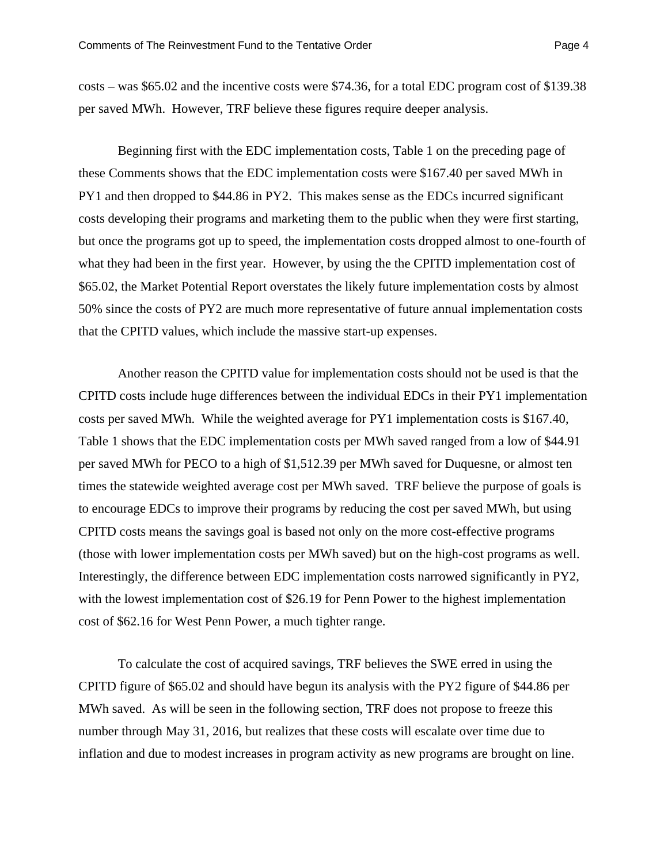costs – was \$65.02 and the incentive costs were \$74.36, for a total EDC program cost of \$139.38 per saved MWh. However, TRF believe these figures require deeper analysis.

Beginning first with the EDC implementation costs, Table 1 on the preceding page of these Comments shows that the EDC implementation costs were \$167.40 per saved MWh in PY1 and then dropped to \$44.86 in PY2. This makes sense as the EDCs incurred significant costs developing their programs and marketing them to the public when they were first starting, but once the programs got up to speed, the implementation costs dropped almost to one-fourth of what they had been in the first year. However, by using the the CPITD implementation cost of \$65.02, the Market Potential Report overstates the likely future implementation costs by almost 50% since the costs of PY2 are much more representative of future annual implementation costs that the CPITD values, which include the massive start-up expenses.

Another reason the CPITD value for implementation costs should not be used is that the CPITD costs include huge differences between the individual EDCs in their PY1 implementation costs per saved MWh. While the weighted average for PY1 implementation costs is \$167.40, Table 1 shows that the EDC implementation costs per MWh saved ranged from a low of \$44.91 per saved MWh for PECO to a high of \$1,512.39 per MWh saved for Duquesne, or almost ten times the statewide weighted average cost per MWh saved. TRF believe the purpose of goals is to encourage EDCs to improve their programs by reducing the cost per saved MWh, but using CPITD costs means the savings goal is based not only on the more cost-effective programs (those with lower implementation costs per MWh saved) but on the high-cost programs as well. Interestingly, the difference between EDC implementation costs narrowed significantly in PY2, with the lowest implementation cost of \$26.19 for Penn Power to the highest implementation cost of \$62.16 for West Penn Power, a much tighter range.

To calculate the cost of acquired savings, TRF believes the SWE erred in using the CPITD figure of \$65.02 and should have begun its analysis with the PY2 figure of \$44.86 per MWh saved. As will be seen in the following section, TRF does not propose to freeze this number through May 31, 2016, but realizes that these costs will escalate over time due to inflation and due to modest increases in program activity as new programs are brought on line.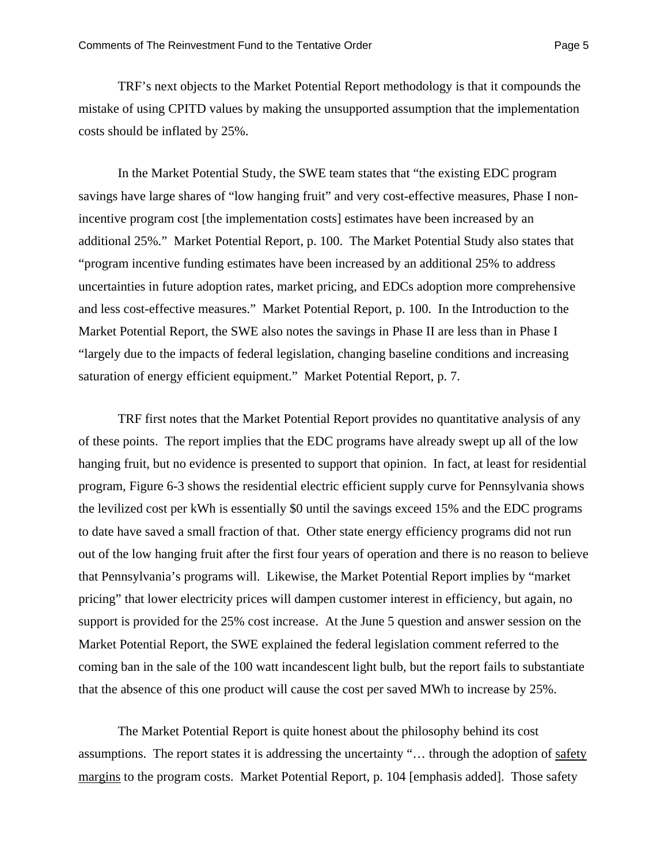TRF's next objects to the Market Potential Report methodology is that it compounds the mistake of using CPITD values by making the unsupported assumption that the implementation costs should be inflated by 25%.

In the Market Potential Study, the SWE team states that "the existing EDC program savings have large shares of "low hanging fruit" and very cost-effective measures, Phase I nonincentive program cost [the implementation costs] estimates have been increased by an additional 25%." Market Potential Report, p. 100. The Market Potential Study also states that "program incentive funding estimates have been increased by an additional 25% to address uncertainties in future adoption rates, market pricing, and EDCs adoption more comprehensive and less cost-effective measures." Market Potential Report, p. 100. In the Introduction to the Market Potential Report, the SWE also notes the savings in Phase II are less than in Phase I "largely due to the impacts of federal legislation, changing baseline conditions and increasing saturation of energy efficient equipment." Market Potential Report, p. 7.

TRF first notes that the Market Potential Report provides no quantitative analysis of any of these points. The report implies that the EDC programs have already swept up all of the low hanging fruit, but no evidence is presented to support that opinion. In fact, at least for residential program, Figure 6-3 shows the residential electric efficient supply curve for Pennsylvania shows the levilized cost per kWh is essentially \$0 until the savings exceed 15% and the EDC programs to date have saved a small fraction of that. Other state energy efficiency programs did not run out of the low hanging fruit after the first four years of operation and there is no reason to believe that Pennsylvania's programs will. Likewise, the Market Potential Report implies by "market pricing" that lower electricity prices will dampen customer interest in efficiency, but again, no support is provided for the 25% cost increase. At the June 5 question and answer session on the Market Potential Report, the SWE explained the federal legislation comment referred to the coming ban in the sale of the 100 watt incandescent light bulb, but the report fails to substantiate that the absence of this one product will cause the cost per saved MWh to increase by 25%.

The Market Potential Report is quite honest about the philosophy behind its cost assumptions. The report states it is addressing the uncertainty "… through the adoption of safety margins to the program costs. Market Potential Report, p. 104 [emphasis added]. Those safety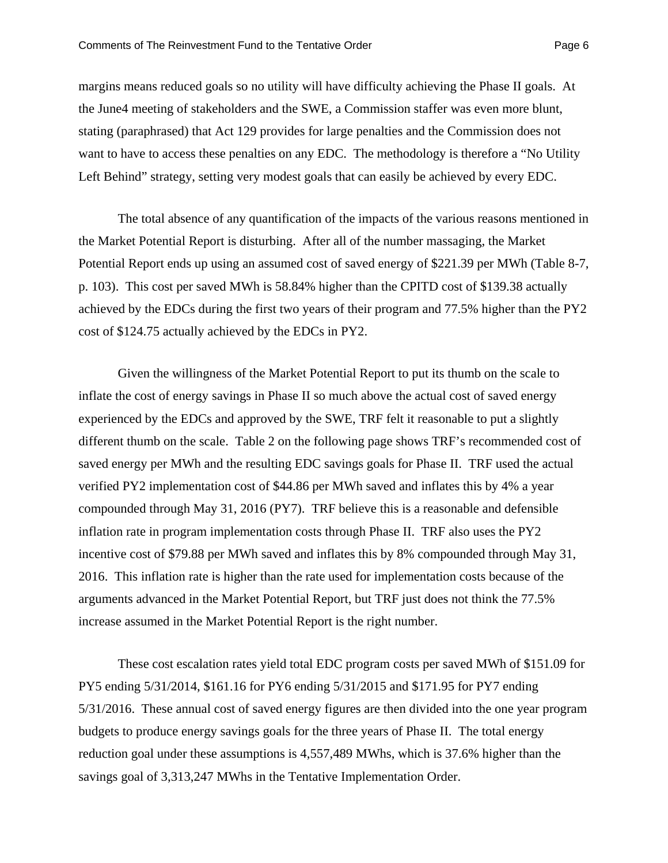margins means reduced goals so no utility will have difficulty achieving the Phase II goals. At the June4 meeting of stakeholders and the SWE, a Commission staffer was even more blunt, stating (paraphrased) that Act 129 provides for large penalties and the Commission does not want to have to access these penalties on any EDC. The methodology is therefore a "No Utility" Left Behind" strategy, setting very modest goals that can easily be achieved by every EDC.

The total absence of any quantification of the impacts of the various reasons mentioned in the Market Potential Report is disturbing. After all of the number massaging, the Market Potential Report ends up using an assumed cost of saved energy of \$221.39 per MWh (Table 8-7, p. 103). This cost per saved MWh is 58.84% higher than the CPITD cost of \$139.38 actually achieved by the EDCs during the first two years of their program and 77.5% higher than the PY2 cost of \$124.75 actually achieved by the EDCs in PY2.

Given the willingness of the Market Potential Report to put its thumb on the scale to inflate the cost of energy savings in Phase II so much above the actual cost of saved energy experienced by the EDCs and approved by the SWE, TRF felt it reasonable to put a slightly different thumb on the scale. Table 2 on the following page shows TRF's recommended cost of saved energy per MWh and the resulting EDC savings goals for Phase II. TRF used the actual verified PY2 implementation cost of \$44.86 per MWh saved and inflates this by 4% a year compounded through May 31, 2016 (PY7). TRF believe this is a reasonable and defensible inflation rate in program implementation costs through Phase II. TRF also uses the PY2 incentive cost of \$79.88 per MWh saved and inflates this by 8% compounded through May 31, 2016. This inflation rate is higher than the rate used for implementation costs because of the arguments advanced in the Market Potential Report, but TRF just does not think the 77.5% increase assumed in the Market Potential Report is the right number.

These cost escalation rates yield total EDC program costs per saved MWh of \$151.09 for PY5 ending 5/31/2014, \$161.16 for PY6 ending 5/31/2015 and \$171.95 for PY7 ending 5/31/2016. These annual cost of saved energy figures are then divided into the one year program budgets to produce energy savings goals for the three years of Phase II. The total energy reduction goal under these assumptions is 4,557,489 MWhs, which is 37.6% higher than the savings goal of 3,313,247 MWhs in the Tentative Implementation Order.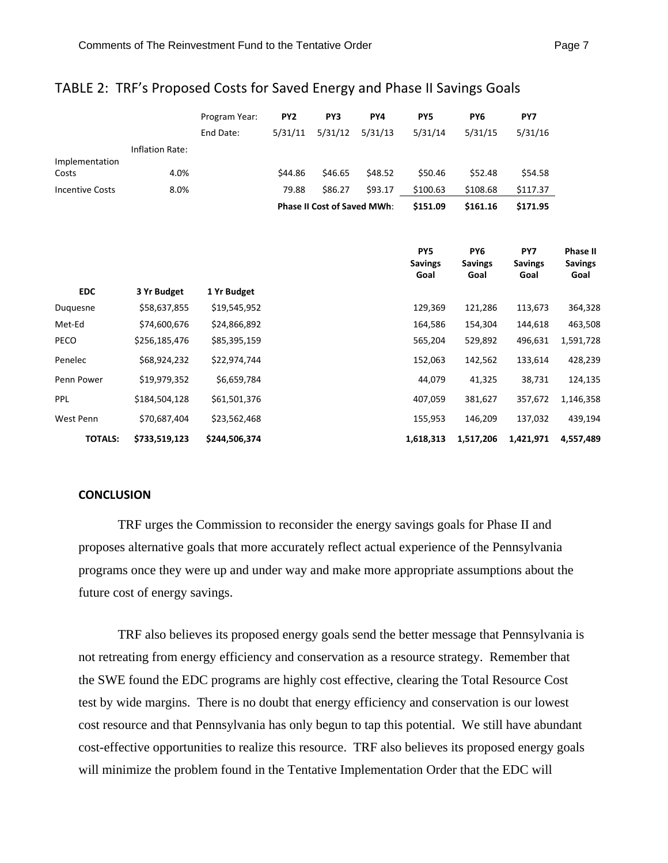|                         |                 | Program Year:<br>End Date: | PY <sub>2</sub><br>5/31/11 | PY3<br>5/31/12                     | PY4<br>5/31/13 | PY <sub>5</sub><br>5/31/14 | PY <sub>6</sub><br>5/31/15 | PY7<br>5/31/16 |
|-------------------------|-----------------|----------------------------|----------------------------|------------------------------------|----------------|----------------------------|----------------------------|----------------|
|                         | Inflation Rate: |                            |                            |                                    |                |                            |                            |                |
| Implementation<br>Costs | 4.0%            |                            | \$44.86                    | \$46.65                            | \$48.52        | \$50.46                    | \$52.48                    | \$54.58        |
| <b>Incentive Costs</b>  | 8.0%            |                            | 79.88                      | \$86.27                            | \$93.17        | \$100.63                   | \$108.68                   | \$117.37       |
|                         |                 |                            |                            | <b>Phase II Cost of Saved MWh:</b> |                | \$151.09                   | \$161.16                   | \$171.95       |
|                         |                 |                            |                            |                                    |                |                            |                            |                |

### TABLE 2: TRF's Proposed Costs for Saved Energy and Phase II Savings Goals

|                |               |               | PY <sub>5</sub><br><b>Savings</b><br>Goal | PY <sub>6</sub><br><b>Savings</b><br>Goal | PY7<br><b>Savings</b><br>Goal | <b>Phase II</b><br><b>Savings</b><br>Goal |
|----------------|---------------|---------------|-------------------------------------------|-------------------------------------------|-------------------------------|-------------------------------------------|
| <b>EDC</b>     | 3 Yr Budget   | 1 Yr Budget   |                                           |                                           |                               |                                           |
| Duquesne       | \$58,637,855  | \$19,545,952  | 129,369                                   | 121,286                                   | 113,673                       | 364,328                                   |
| Met-Ed         | \$74,600,676  | \$24,866,892  | 164,586                                   | 154,304                                   | 144,618                       | 463,508                                   |
| PECO           | \$256,185,476 | \$85,395,159  | 565,204                                   | 529,892                                   | 496,631                       | 1,591,728                                 |
| Penelec        | \$68,924,232  | \$22,974,744  | 152,063                                   | 142,562                                   | 133,614                       | 428,239                                   |
| Penn Power     | \$19,979,352  | \$6,659,784   | 44,079                                    | 41,325                                    | 38,731                        | 124,135                                   |
| <b>PPL</b>     | \$184,504,128 | \$61,501,376  | 407,059                                   | 381,627                                   | 357,672                       | 1,146,358                                 |
| West Penn      | \$70,687,404  | \$23,562,468  | 155,953                                   | 146,209                                   | 137,032                       | 439,194                                   |
| <b>TOTALS:</b> | \$733,519,123 | \$244,506,374 | 1,618,313                                 | 1,517,206                                 | 1,421,971                     | 4,557,489                                 |

#### **CONCLUSION**

TRF urges the Commission to reconsider the energy savings goals for Phase II and proposes alternative goals that more accurately reflect actual experience of the Pennsylvania programs once they were up and under way and make more appropriate assumptions about the future cost of energy savings.

TRF also believes its proposed energy goals send the better message that Pennsylvania is not retreating from energy efficiency and conservation as a resource strategy. Remember that the SWE found the EDC programs are highly cost effective, clearing the Total Resource Cost test by wide margins. There is no doubt that energy efficiency and conservation is our lowest cost resource and that Pennsylvania has only begun to tap this potential. We still have abundant cost-effective opportunities to realize this resource. TRF also believes its proposed energy goals will minimize the problem found in the Tentative Implementation Order that the EDC will